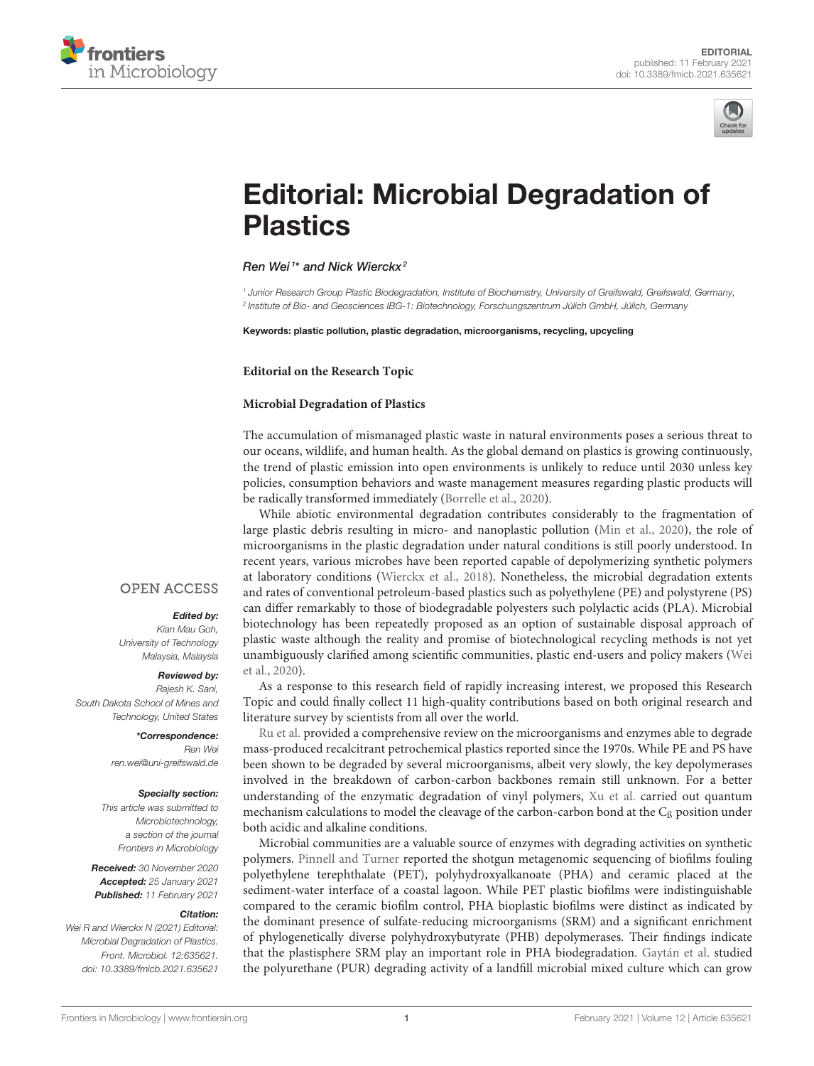



# [Editorial: Microbial Degradation of](https://www.frontiersin.org/articles/10.3389/fmicb.2021.635621/full) **Plastics**

#### Ren Wei<sup>1\*</sup> and Nick Wierckx<sup>2</sup>

<sup>1</sup> Junior Research Group Plastic Biodegradation, Institute of Biochemistry, University of Greifswald, Germana, Germany, 2 Institute of Bio- and Geosciences IBG-1: Biotechnology, Forschungszentrum Jülich GmbH, Jülich, Germany

Keywords: plastic pollution, plastic degradation, microorganisms, recycling, upcycling

**Editorial on the Research Topic**

#### **[Microbial Degradation of Plastics](https://www.frontiersin.org/research-topics/8688/microbial-degradation-of-plastics)**

The accumulation of mismanaged plastic waste in natural environments poses a serious threat to our oceans, wildlife, and human health. As the global demand on plastics is growing continuously, the trend of plastic emission into open environments is unlikely to reduce until 2030 unless key policies, consumption behaviors and waste management measures regarding plastic products will be radically transformed immediately [\(Borrelle et al., 2020\)](#page-1-0).

While abiotic environmental degradation contributes considerably to the fragmentation of large plastic debris resulting in micro- and nanoplastic pollution [\(Min et al., 2020\)](#page-1-1), the role of microorganisms in the plastic degradation under natural conditions is still poorly understood. In recent years, various microbes have been reported capable of depolymerizing synthetic polymers at laboratory conditions [\(Wierckx et al., 2018\)](#page-2-0). Nonetheless, the microbial degradation extents and rates of conventional petroleum-based plastics such as polyethylene (PE) and polystyrene (PS) can differ remarkably to those of biodegradable polyesters such polylactic acids (PLA). Microbial biotechnology has been repeatedly proposed as an option of sustainable disposal approach of plastic waste although the reality and promise of biotechnological recycling methods is not yet unambiguously clarified among scientific communities, plastic end-users and policy makers (Wei et al., [2020\)](#page-2-1).

As a response to this research field of rapidly increasing interest, we proposed this Research Topic and could finally collect 11 high-quality contributions based on both original research and literature survey by scientists from all over the world.

[Ru et al.](https://doi.org/10.3389/fmicb.2020.00442) provided a comprehensive review on the microorganisms and enzymes able to degrade mass-produced recalcitrant petrochemical plastics reported since the 1970s. While PE and PS have been shown to be degraded by several microorganisms, albeit very slowly, the key depolymerases involved in the breakdown of carbon-carbon backbones remain still unknown. For a better understanding of the enzymatic degradation of vinyl polymers, [Xu et al.](https://doi.org/10.3389/fmicb.2019.00489) carried out quantum mechanism calculations to model the cleavage of the carbon-carbon bond at the  $C_\beta$  position under both acidic and alkaline conditions.

Microbial communities are a valuable source of enzymes with degrading activities on synthetic polymers. [Pinnell and Turner](https://doi.org/10.3389/fmicb.2019.01252) reported the shotgun metagenomic sequencing of biofilms fouling polyethylene terephthalate (PET), polyhydroxyalkanoate (PHA) and ceramic placed at the sediment-water interface of a coastal lagoon. While PET plastic biofilms were indistinguishable compared to the ceramic biofilm control, PHA bioplastic biofilms were distinct as indicated by the dominant presence of sulfate-reducing microorganisms (SRM) and a significant enrichment of phylogenetically diverse polyhydroxybutyrate (PHB) depolymerases. Their findings indicate that the plastisphere SRM play an important role in PHA biodegradation. [Gaytán et al.](https://doi.org/10.3389/fmicb.2019.02986) studied the polyurethane (PUR) degrading activity of a landfill microbial mixed culture which can grow

### **OPEN ACCESS**

#### Edited by:

Kian Mau Goh, University of Technology Malaysia, Malaysia

## Reviewed by:

Rajesh K. Sani, South Dakota School of Mines and Technology, United States

> \*Correspondence: Ren Wei [ren.wei@uni-greifswald.de](mailto:ren.wei@uni-greifswald.de)

#### Specialty section:

This article was submitted to Microbiotechnology, a section of the journal Frontiers in Microbiology

Received: 30 November 2020 Accepted: 25 January 2021 Published: 11 February 2021

#### Citation:

Wei R and Wierckx N (2021) Editorial: Microbial Degradation of Plastics. Front. Microbiol. 12:635621. doi: [10.3389/fmicb.2021.635621](https://doi.org/10.3389/fmicb.2021.635621)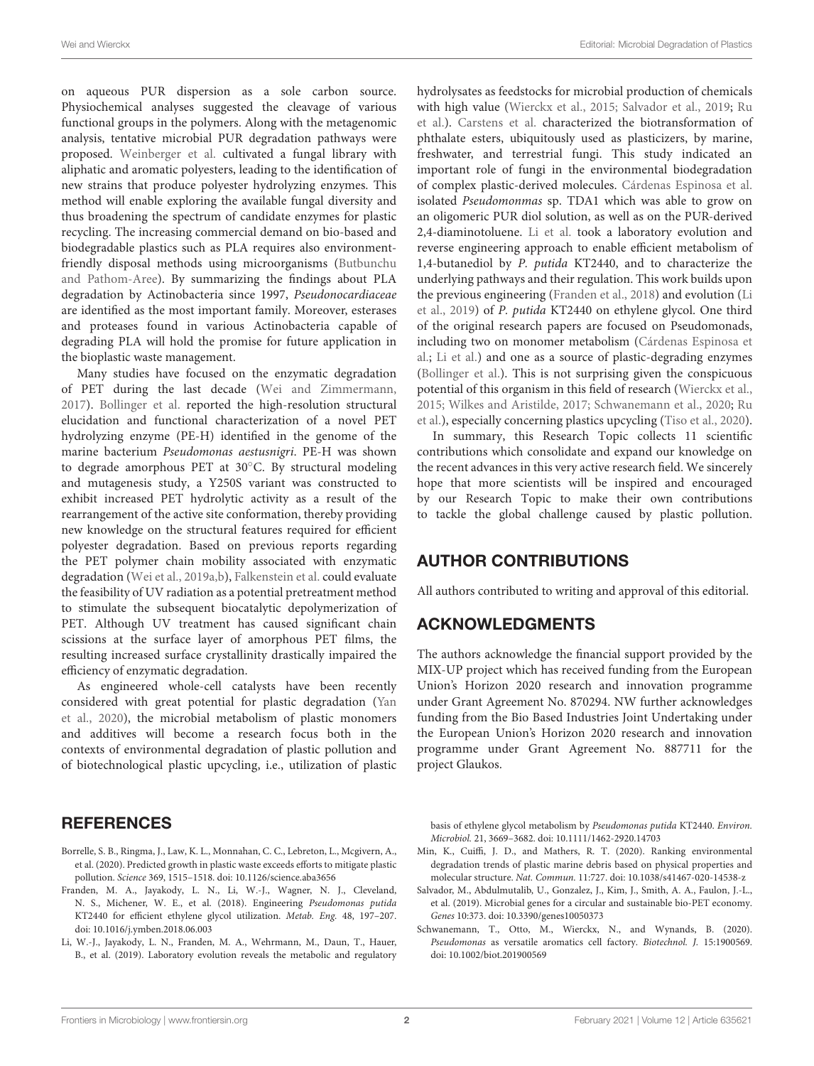on aqueous PUR dispersion as a sole carbon source. Physiochemical analyses suggested the cleavage of various functional groups in the polymers. Along with the metagenomic analysis, tentative microbial PUR degradation pathways were proposed. [Weinberger et al.](https://doi.org/10.3389/fmicb.2020.00554) cultivated a fungal library with aliphatic and aromatic polyesters, leading to the identification of new strains that produce polyester hydrolyzing enzymes. This method will enable exploring the available fungal diversity and thus broadening the spectrum of candidate enzymes for plastic recycling. The increasing commercial demand on bio-based and biodegradable plastics such as PLA requires also environment[friendly disposal methods using microorganisms \(Butbunchu](https://doi.org/10.3389/fmicb.2019.02834) and Pathom-Aree). By summarizing the findings about PLA degradation by Actinobacteria since 1997, Pseudonocardiaceae are identified as the most important family. Moreover, esterases and proteases found in various Actinobacteria capable of degrading PLA will hold the promise for future application in the bioplastic waste management.

Many studies have focused on the enzymatic degradation of PET during the last decade [\(Wei and Zimmermann,](#page-2-2) [2017\)](#page-2-2). [Bollinger et al.](https://doi.org/10.3389/fmicb.2020.00114) reported the high-resolution structural elucidation and functional characterization of a novel PET hydrolyzing enzyme (PE-H) identified in the genome of the marine bacterium Pseudomonas aestusnigri. PE-H was shown to degrade amorphous PET at 30◦C. By structural modeling and mutagenesis study, a Y250S variant was constructed to exhibit increased PET hydrolytic activity as a result of the rearrangement of the active site conformation, thereby providing new knowledge on the structural features required for efficient polyester degradation. Based on previous reports regarding the PET polymer chain mobility associated with enzymatic degradation [\(Wei et al., 2019a](#page-2-3)[,b\)](#page-2-4), [Falkenstein et al.](https://doi.org/10.3389/fmicb.2020.00689) could evaluate the feasibility of UV radiation as a potential pretreatment method to stimulate the subsequent biocatalytic depolymerization of PET. Although UV treatment has caused significant chain scissions at the surface layer of amorphous PET films, the resulting increased surface crystallinity drastically impaired the efficiency of enzymatic degradation.

As engineered whole-cell catalysts have been recently considered with great potential for plastic degradation (Yan et al., [2020\)](#page-2-5), the microbial metabolism of plastic monomers and additives will become a research focus both in the contexts of environmental degradation of plastic pollution and of biotechnological plastic upcycling, i.e., utilization of plastic

## **REFERENCES**

- <span id="page-1-0"></span>Borrelle, S. B., Ringma, J., Law, K. L., Monnahan, C. C., Lebreton, L., Mcgivern, A., et al. (2020). Predicted growth in plastic waste exceeds efforts to mitigate plastic pollution. Science 369, 1515–1518. doi: [10.1126/science.aba3656](https://doi.org/10.1126/science.aba3656)
- <span id="page-1-3"></span>Franden, M. A., Jayakody, L. N., Li, W.-J., Wagner, N. J., Cleveland, N. S., Michener, W. E., et al. (2018). Engineering Pseudomonas putida KT2440 for efficient ethylene glycol utilization. Metab. Eng. 48, 197–207. doi: [10.1016/j.ymben.2018.06.003](https://doi.org/10.1016/j.ymben.2018.06.003)
- <span id="page-1-4"></span>Li, W.-J., Jayakody, L. N., Franden, M. A., Wehrmann, M., Daun, T., Hauer, B., et al. (2019). Laboratory evolution reveals the metabolic and regulatory

hydrolysates as feedstocks for microbial production of chemicals [with high value \(Wierckx et al., 2015; Salvador et al., 2019;](https://doi.org/10.3389/fmicb.2020.00442) Ru et al.). [Carstens et al.](https://doi.org/10.3389/fmicb.2020.00317) characterized the biotransformation of phthalate esters, ubiquitously used as plasticizers, by marine, freshwater, and terrestrial fungi. This study indicated an important role of fungi in the environmental biodegradation of complex plastic-derived molecules. [Cárdenas Espinosa et al.](https://doi.org/10.3389/fmicb.2020.00404) isolated Pseudomonmas sp. TDA1 which was able to grow on an oligomeric PUR diol solution, as well as on the PUR-derived 2,4-diaminotoluene. [Li et al.](https://doi.org/10.3389/fmicb.2020.00382) took a laboratory evolution and reverse engineering approach to enable efficient metabolism of 1,4-butanediol by P. putida KT2440, and to characterize the underlying pathways and their regulation. This work builds upon the previous engineering [\(Franden et al., 2018\)](#page-1-3) and evolution (Li et al., [2019\)](#page-1-4) of P. putida KT2440 on ethylene glycol. One third of the original research papers are focused on Pseudomonads, [including two on monomer metabolism \(Cárdenas Espinosa et](https://doi.org/10.3389/fmicb.2020.00404) al.; [Li et al.\)](https://doi.org/10.3389/fmicb.2020.00382) and one as a source of plastic-degrading enzymes [\(Bollinger et al.\)](https://doi.org/10.3389/fmicb.2020.00114). This is not surprising given the conspicuous potential of this organism in this field of research [\(Wierckx et al.,](#page-2-6) [2015;](#page-2-6) [Wilkes and Aristilde, 2017;](#page-2-7) [Schwanemann et al., 2020;](#page-1-5) Ru [et al.\), especially concerning plastics upcycling \(Tiso et al., 2020\).](https://doi.org/10.3389/fmicb.2020.00442)

In summary, this Research Topic collects 11 scientific contributions which consolidate and expand our knowledge on the recent advances in this very active research field. We sincerely hope that more scientists will be inspired and encouraged by our Research Topic to make their own contributions to tackle the global challenge caused by plastic pollution.

## AUTHOR CONTRIBUTIONS

All authors contributed to writing and approval of this editorial.

## ACKNOWLEDGMENTS

The authors acknowledge the financial support provided by the MIX-UP project which has received funding from the European Union's Horizon 2020 research and innovation programme under Grant Agreement No. 870294. NW further acknowledges funding from the Bio Based Industries Joint Undertaking under the European Union's Horizon 2020 research and innovation programme under Grant Agreement No. 887711 for the project Glaukos.

basis of ethylene glycol metabolism by Pseudomonas putida KT2440. Environ. Microbiol. 21, 3669–3682. doi: [10.1111/1462-2920.14703](https://doi.org/10.1111/1462-2920.14703)

- <span id="page-1-1"></span>Min, K., Cuiffi, J. D., and Mathers, R. T. (2020). Ranking environmental degradation trends of plastic marine debris based on physical properties and molecular structure. Nat. Commun. 11:727. doi: [10.1038/s41467-020-14538-z](https://doi.org/10.1038/s41467-020-14538-z)
- <span id="page-1-2"></span>Salvador, M., Abdulmutalib, U., Gonzalez, J., Kim, J., Smith, A. A., Faulon, J.-L., et al. (2019). Microbial genes for a circular and sustainable bio-PET economy. Genes 10:373. doi: [10.3390/genes10050373](https://doi.org/10.3390/genes10050373)
- <span id="page-1-5"></span>Schwanemann, T., Otto, M., Wierckx, N., and Wynands, B. (2020). Pseudomonas as versatile aromatics cell factory. Biotechnol. J. 15:1900569. doi: [10.1002/biot.201900569](https://doi.org/10.1002/biot.201900569)